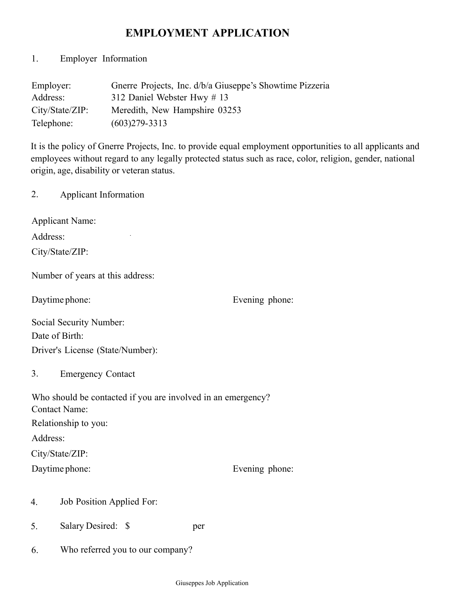# **EMPLOYMENT APPLICATION**

1. Employer Information

| Employer:       | Gnerre Projects, Inc. d/b/a Giuseppe's Showtime Pizzeria |
|-----------------|----------------------------------------------------------|
| Address:        | 312 Daniel Webster Hwy # 13                              |
| City/State/ZIP: | Meredith, New Hampshire 03253                            |
| Telephone:      | $(603)279 - 3313$                                        |

It is the policy of Gnerre Projects, Inc. to provide equal employment opportunities to all applicants and employees without regard to any legally protected status such as race, color, religion, gender, national origin, age, disability or veteran status.

2. Applicant Information

Applicant Name:

Address:

City/State/ZIP:

Number of years at this address:

 $\ddot{\phantom{a}}$ 

Daytime phone: Evening phone:

| <b>Social Security Number:</b>   |
|----------------------------------|
| Date of Birth:                   |
| Driver's License (State/Number): |

3. Emergency Contact

| Who should be contacted if you are involved in an emergency? |                |
|--------------------------------------------------------------|----------------|
| <b>Contact Name:</b>                                         |                |
| Relationship to you:                                         |                |
| Address:                                                     |                |
| City/State/ZIP:                                              |                |
| Daytime phone:                                               | Evening phone: |

- 4. Job Position Applied For:
- 5. Salary Desired: \$ per
- 6. Who referred you to our company?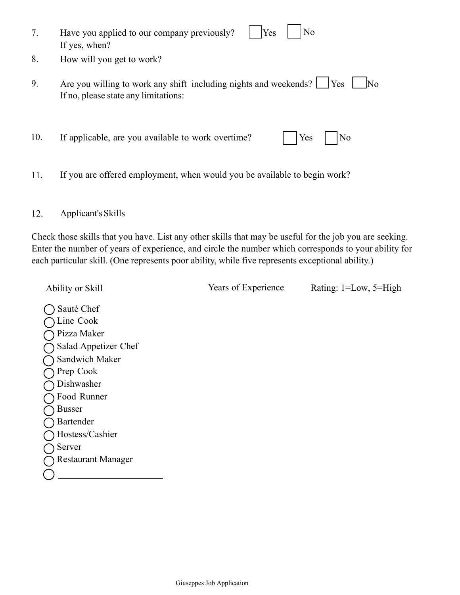| 7.  | No<br>Have you applied to our company previously?<br>Yes<br>If yes, when?                                                         |
|-----|-----------------------------------------------------------------------------------------------------------------------------------|
| 8.  | How will you get to work?                                                                                                         |
| 9.  | Are you willing to work any shift including nights and weekends?<br>Yes<br>N <sub>0</sub><br>If no, please state any limitations: |
| 10. | If applicable, are you available to work overtime?<br>Yes<br>No                                                                   |

11. If you are offered employment, when would you be available to begin work?

### 12. Applicant'sSkills

Check those skills that you have. List any other skills that may be useful for the job you are seeking. Enter the number of years of experience, and circle the number which corresponds to your ability for each particular skill. (One represents poor ability, while five represents exceptional ability.)

Ability or Skill Years of Experience Rating: 1=Low, 5=High

◯ Sauté Chef ◯ Line Cook Pizza Maker Salad Appetizer Chef  $\bigcap$  Sandwich Maker  $\tilde{O}$  Prep Cook Dishwasher Food Runner ◯ Busser ◯ Bartender Hostess/Cashier ○ Server Restaurant Manager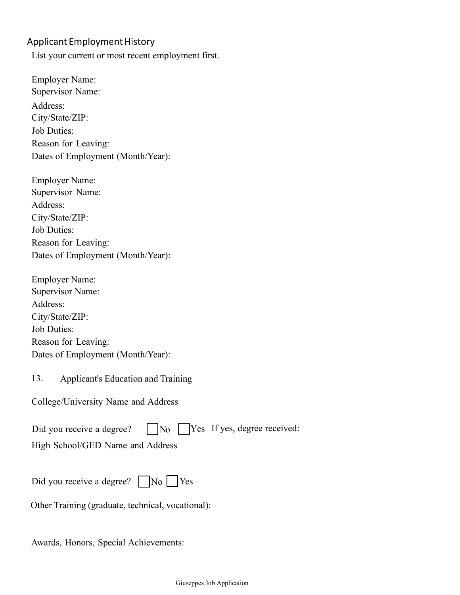## Applicant Employment History

List your current or most recent employment first.

Employer Name: Supervisor Name: Address: City/State/ZIP: Job Duties: Reason for Leaving: Dates of Employment (Month/Year):

Employer Name: Supervisor Name: Address: City/State/ZIP: Job Duties: Reason for Leaving: Dates of Employment (Month/Year):

Employer Name: Supervisor Name: Address: City/State/ZIP: Job Duties: Reason for Leaving: Dates of Employment (Month/Year):

13. Applicant's Education and Training

College/University Name and Address

| Did you receive a degree? $\Box$ No $\Box$ Yes If yes, degree received: |  |  |  |  |
|-------------------------------------------------------------------------|--|--|--|--|
|-------------------------------------------------------------------------|--|--|--|--|

High School/GED Name and Address

Did you receive a degree?  $\Box$  No  $\Box$  Yes

Other Training (graduate, technical, vocational):

Awards, Honors, Special Achievements: